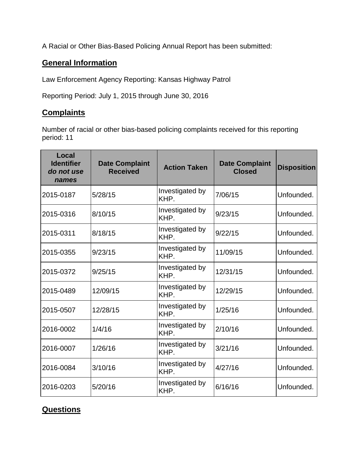A Racial or Other Bias-Based Policing Annual Report has been submitted:

## **General Information**

Law Enforcement Agency Reporting: Kansas Highway Patrol

Reporting Period: July 1, 2015 through June 30, 2016

## **Complaints**

Number of racial or other bias-based policing complaints received for this reporting period: 11

| Local<br><b>Identifier</b><br>do not use<br>names | <b>Date Complaint</b><br><b>Received</b> | <b>Action Taken</b>     | <b>Date Complaint</b><br><b>Closed</b> | <b>Disposition</b> |
|---------------------------------------------------|------------------------------------------|-------------------------|----------------------------------------|--------------------|
| 2015-0187                                         | 5/28/15                                  | Investigated by<br>KHP. | 7/06/15                                | Unfounded.         |
| 2015-0316                                         | 8/10/15                                  | Investigated by<br>KHP. | 9/23/15                                | Unfounded.         |
| 2015-0311                                         | 8/18/15                                  | Investigated by<br>KHP. | 9/22/15                                | Unfounded.         |
| 2015-0355                                         | 9/23/15                                  | Investigated by<br>KHP. | 11/09/15                               | Unfounded.         |
| 2015-0372                                         | 9/25/15                                  | Investigated by<br>KHP. | 12/31/15                               | Unfounded.         |
| 2015-0489                                         | 12/09/15                                 | Investigated by<br>KHP. | 12/29/15                               | Unfounded.         |
| 2015-0507                                         | 12/28/15                                 | Investigated by<br>KHP. | 1/25/16                                | Unfounded.         |
| 2016-0002                                         | 1/4/16                                   | Investigated by<br>KHP. | 2/10/16                                | Unfounded.         |
| 2016-0007                                         | 1/26/16                                  | Investigated by<br>KHP. | 3/21/16                                | Unfounded.         |
| 2016-0084                                         | 3/10/16                                  | Investigated by<br>KHP. | 4/27/16                                | Unfounded.         |
| 2016-0203                                         | 5/20/16                                  | Investigated by<br>KHP. | 6/16/16                                | Unfounded.         |

## **Questions**